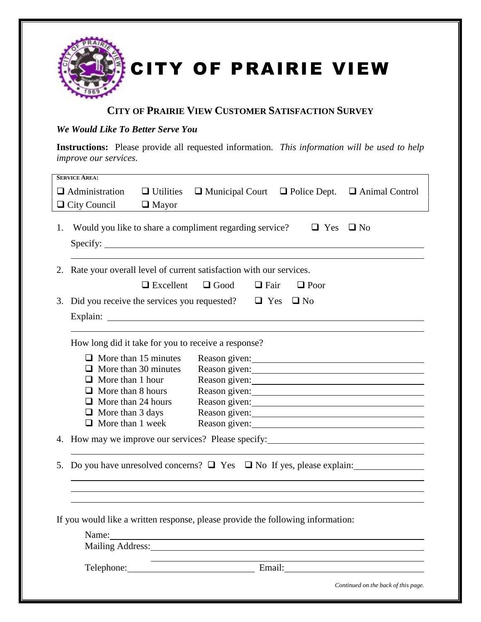

## **CITY OF PRAIRIE VIEW CUSTOMER SATISFACTION SURVEY**

## *We Would Like To Better Serve You*

**Instructions:** Please provide all requested information. *This information will be used to help improve our services.*

| <b>SERVICE AREA:</b>                                                                                                                                                                                                                                       |  |  |  |  |  |  |
|------------------------------------------------------------------------------------------------------------------------------------------------------------------------------------------------------------------------------------------------------------|--|--|--|--|--|--|
| $\Box$ Administration<br>$\Box$ Utilities<br>$\Box$ Municipal Court $\Box$ Police Dept. $\Box$ Animal Control                                                                                                                                              |  |  |  |  |  |  |
| $\Box$ City Council<br>$\Box$ Mayor                                                                                                                                                                                                                        |  |  |  |  |  |  |
|                                                                                                                                                                                                                                                            |  |  |  |  |  |  |
| Would you like to share a compliment regarding service? $\Box$ Yes<br>$\square$ No<br>1.                                                                                                                                                                   |  |  |  |  |  |  |
|                                                                                                                                                                                                                                                            |  |  |  |  |  |  |
|                                                                                                                                                                                                                                                            |  |  |  |  |  |  |
| Rate your overall level of current satisfaction with our services.<br>2.                                                                                                                                                                                   |  |  |  |  |  |  |
| $\Box$ Excellent<br>$\Box$ Good<br>$\Box$ Fair<br>$\Box$ Poor                                                                                                                                                                                              |  |  |  |  |  |  |
| Did you receive the services you requested? $\Box$ Yes<br>3.<br>$\Box$ No                                                                                                                                                                                  |  |  |  |  |  |  |
|                                                                                                                                                                                                                                                            |  |  |  |  |  |  |
|                                                                                                                                                                                                                                                            |  |  |  |  |  |  |
| How long did it take for you to receive a response?                                                                                                                                                                                                        |  |  |  |  |  |  |
| $\Box$ More than 15 minutes                                                                                                                                                                                                                                |  |  |  |  |  |  |
| $\Box$ More than 30 minutes                                                                                                                                                                                                                                |  |  |  |  |  |  |
| $\Box$ More than 1 hour                                                                                                                                                                                                                                    |  |  |  |  |  |  |
| $\Box$ More than 8 hours<br>Reason given: Note and the set of the set of the set of the set of the set of the set of the set of the set of the set of the set of the set of the set of the set of the set of the set of the set of the set of the set of t |  |  |  |  |  |  |
| $\Box$ More than 24 hours<br>Reason given:                                                                                                                                                                                                                 |  |  |  |  |  |  |
| $\Box$ More than 3 days<br>Reason given:                                                                                                                                                                                                                   |  |  |  |  |  |  |
| $\Box$ More than 1 week                                                                                                                                                                                                                                    |  |  |  |  |  |  |
| 4. How may we improve our services? Please specify: _____________________________                                                                                                                                                                          |  |  |  |  |  |  |
|                                                                                                                                                                                                                                                            |  |  |  |  |  |  |
| Do you have unresolved concerns? $\Box$ Yes $\Box$ No If yes, please explain:<br>5.                                                                                                                                                                        |  |  |  |  |  |  |
|                                                                                                                                                                                                                                                            |  |  |  |  |  |  |
|                                                                                                                                                                                                                                                            |  |  |  |  |  |  |
|                                                                                                                                                                                                                                                            |  |  |  |  |  |  |
| If you would like a written response, please provide the following information:                                                                                                                                                                            |  |  |  |  |  |  |
| Name:<br><u> 1989 - Johann Stein, mars an de Frankrik en de Frankrik en de Frankrik en de Frankrik en de Frankrik en de F</u>                                                                                                                              |  |  |  |  |  |  |
| <b>Mailing Address:</b>                                                                                                                                                                                                                                    |  |  |  |  |  |  |
| Telephone: Email:                                                                                                                                                                                                                                          |  |  |  |  |  |  |
|                                                                                                                                                                                                                                                            |  |  |  |  |  |  |
| Continued on the back of this page.                                                                                                                                                                                                                        |  |  |  |  |  |  |